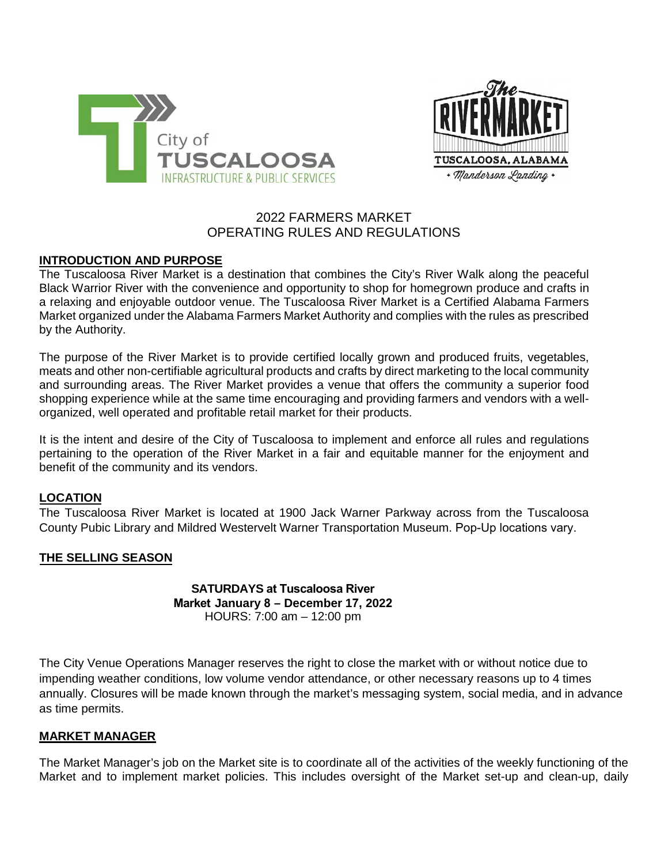



# 2022 FARMERS MARKET OPERATING RULES AND REGULATIONS

# **INTRODUCTION AND PURPOSE**

The Tuscaloosa River Market is a destination that combines the City's River Walk along the peaceful Black Warrior River with the convenience and opportunity to shop for homegrown produce and crafts in a relaxing and enjoyable outdoor venue. The Tuscaloosa River Market is a Certified Alabama Farmers Market organized under the Alabama Farmers Market Authority and complies with the rules as prescribed by the Authority.

The purpose of the River Market is to provide certified locally grown and produced fruits, vegetables, meats and other non-certifiable agricultural products and crafts by direct marketing to the local community and surrounding areas. The River Market provides a venue that offers the community a superior food shopping experience while at the same time encouraging and providing farmers and vendors with a wellorganized, well operated and profitable retail market for their products.

It is the intent and desire of the City of Tuscaloosa to implement and enforce all rules and regulations pertaining to the operation of the River Market in a fair and equitable manner for the enjoyment and benefit of the community and its vendors.

### **LOCATION**

The Tuscaloosa River Market is located at 1900 Jack Warner Parkway across from the Tuscaloosa County Pubic Library and Mildred Westervelt Warner Transportation Museum. Pop-Up locations vary.

### **THE SELLING SEASON**

**SATURDAYS at Tuscaloosa River Market January 8 – December 17, 2022** HOURS: 7:00 am – 12:00 pm

The City Venue Operations Manager reserves the right to close the market with or without notice due to impending weather conditions, low volume vendor attendance, or other necessary reasons up to 4 times annually. Closures will be made known through the market's messaging system, social media, and in advance as time permits.

#### **MARKET MANAGER**

The Market Manager's job on the Market site is to coordinate all of the activities of the weekly functioning of the Market and to implement market policies. This includes oversight of the Market set-up and clean-up, daily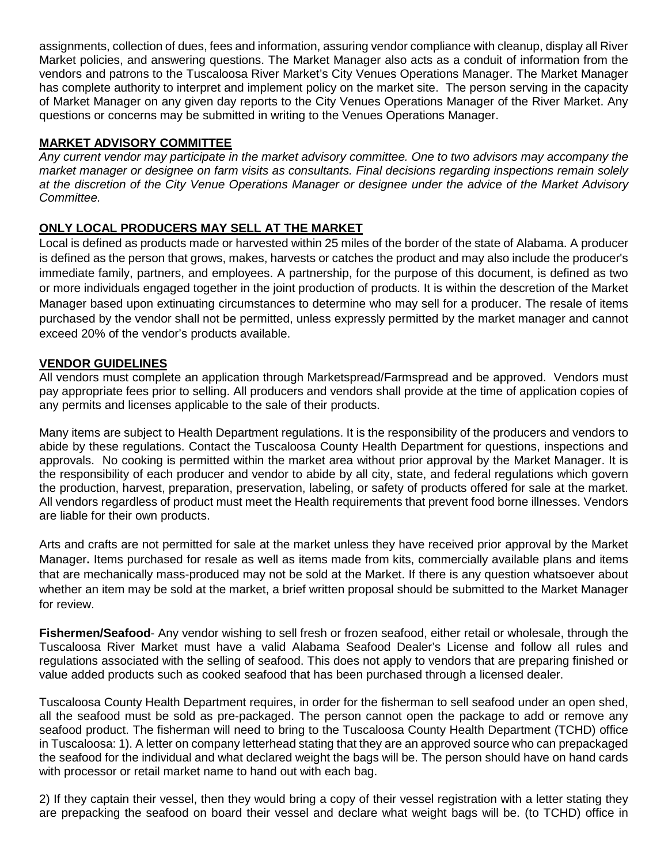assignments, collection of dues, fees and information, assuring vendor compliance with cleanup, display all River Market policies, and answering questions. The Market Manager also acts as a conduit of information from the vendors and patrons to the Tuscaloosa River Market's City Venues Operations Manager. The Market Manager has complete authority to interpret and implement policy on the market site. The person serving in the capacity of Market Manager on any given day reports to the City Venues Operations Manager of the River Market. Any questions or concerns may be submitted in writing to the Venues Operations Manager.

## **MARKET ADVISORY COMMITTEE**

*Any current vendor may participate in the market advisory committee. One to two advisors may accompany the market manager or designee on farm visits as consultants. Final decisions regarding inspections remain solely at the discretion of the City Venue Operations Manager or designee under the advice of the Market Advisory Committee.*

# **ONLY LOCAL PRODUCERS MAY SELL AT THE MARKET**

Local is defined as products made or harvested within 25 miles of the border of the state of Alabama. A producer is defined as the person that grows, makes, harvests or catches the product and may also include the producer's immediate family, partners, and employees. A partnership, for the purpose of this document, is defined as two or more individuals engaged together in the joint production of products. It is within the descretion of the Market Manager based upon extinuating circumstances to determine who may sell for a producer. The resale of items purchased by the vendor shall not be permitted, unless expressly permitted by the market manager and cannot exceed 20% of the vendor's products available.

# **VENDOR GUIDELINES**

All vendors must complete an application through Marketspread/Farmspread and be approved. Vendors must pay appropriate fees prior to selling. All producers and vendors shall provide at the time of application copies of any permits and licenses applicable to the sale of their products.

Many items are subject to Health Department regulations. It is the responsibility of the producers and vendors to abide by these regulations. Contact the Tuscaloosa County Health Department for questions, inspections and approvals. No cooking is permitted within the market area without prior approval by the Market Manager. It is the responsibility of each producer and vendor to abide by all city, state, and federal regulations which govern the production, harvest, preparation, preservation, labeling, or safety of products offered for sale at the market. All vendors regardless of product must meet the Health requirements that prevent food borne illnesses. Vendors are liable for their own products.

Arts and crafts are not permitted for sale at the market unless they have received prior approval by the Market Manager**.** Items purchased for resale as well as items made from kits, commercially available plans and items that are mechanically mass-produced may not be sold at the Market. If there is any question whatsoever about whether an item may be sold at the market, a brief written proposal should be submitted to the Market Manager for review.

**Fishermen/Seafood**- Any vendor wishing to sell fresh or frozen seafood, either retail or wholesale, through the Tuscaloosa River Market must have a valid Alabama Seafood Dealer's License and follow all rules and regulations associated with the selling of seafood. This does not apply to vendors that are preparing finished or value added products such as cooked seafood that has been purchased through a licensed dealer.

Tuscaloosa County Health Department requires, in order for the fisherman to sell seafood under an open shed, all the seafood must be sold as pre-packaged. The person cannot open the package to add or remove any seafood product. The fisherman will need to bring to the Tuscaloosa County Health Department (TCHD) office in Tuscaloosa: 1). A letter on company letterhead stating that they are an approved source who can prepackaged the seafood for the individual and what declared weight the bags will be. The person should have on hand cards with processor or retail market name to hand out with each bag.

2) If they captain their vessel, then they would bring a copy of their vessel registration with a letter stating they are prepacking the seafood on board their vessel and declare what weight bags will be. (to TCHD) office in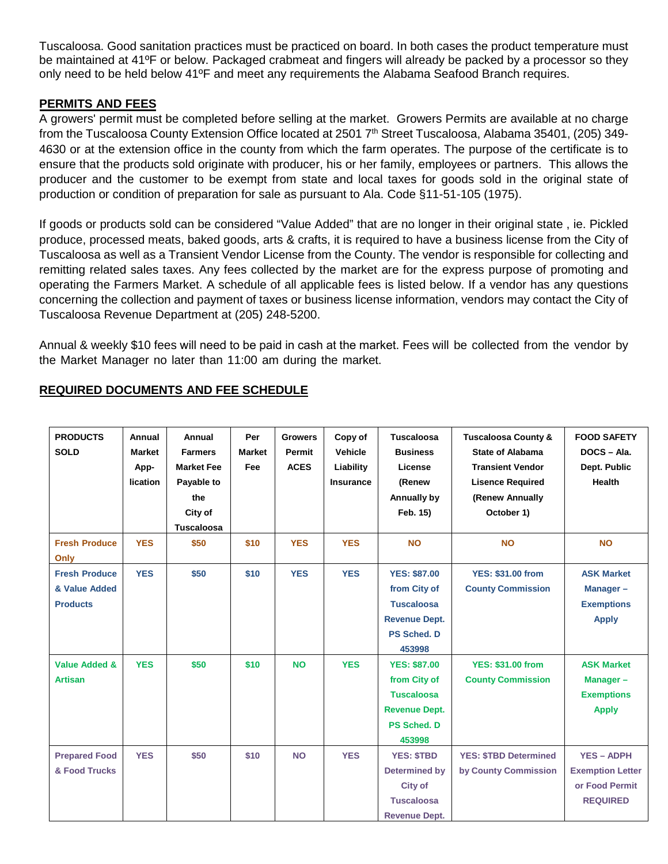Tuscaloosa. Good sanitation practices must be practiced on board. In both cases the product temperature must be maintained at 41ºF or below. Packaged crabmeat and fingers will already be packed by a processor so they only need to be held below 41ºF and meet any requirements the Alabama Seafood Branch requires.

# **PERMITS AND FEES**

A growers' permit must be completed before selling at the market. Growers Permits are available at no charge from the Tuscaloosa County Extension Office located at 2501 7<sup>th</sup> Street Tuscaloosa, Alabama 35401, (205) 349-4630 or at the extension office in the county from which the farm operates. The purpose of the certificate is to ensure that the products sold originate with producer, his or her family, employees or partners. This allows the producer and the customer to be exempt from state and local taxes for goods sold in the original state of production or condition of preparation for sale as pursuant to Ala. Code §11-51-105 (1975).

If goods or products sold can be considered "Value Added" that are no longer in their original state , ie. Pickled produce, processed meats, baked goods, arts & crafts, it is required to have a business license from the City of Tuscaloosa as well as a Transient Vendor License from the County. The vendor is responsible for collecting and remitting related sales taxes. Any fees collected by the market are for the express purpose of promoting and operating the Farmers Market. A schedule of all applicable fees is listed below. If a vendor has any questions concerning the collection and payment of taxes or business license information, vendors may contact the City of Tuscaloosa Revenue Department at (205) 248-5200.

Annual & weekly \$10 fees will need to be paid in cash at the market. Fees will be collected from the vendor by the Market Manager no later than 11:00 am during the market.

| <b>PRODUCTS</b><br><b>SOLD</b>                           | Annual<br><b>Market</b><br>App-<br>lication | Annual<br><b>Farmers</b><br><b>Market Fee</b><br>Payable to<br>the<br>City of<br><b>Tuscaloosa</b> | Per<br><b>Market</b><br>Fee | <b>Growers</b><br>Permit<br><b>ACES</b> | Copy of<br><b>Vehicle</b><br>Liability<br><b>Insurance</b> | <b>Tuscaloosa</b><br><b>Business</b><br>License<br>(Renew<br>Annually by<br>Feb. 15)                             | <b>Tuscaloosa County &amp;</b><br><b>State of Alabama</b><br><b>Transient Vendor</b><br><b>Lisence Required</b><br>(Renew Annually<br>October 1) | <b>FOOD SAFETY</b><br>DOCS-Ala.<br>Dept. Public<br><b>Health</b>                  |
|----------------------------------------------------------|---------------------------------------------|----------------------------------------------------------------------------------------------------|-----------------------------|-----------------------------------------|------------------------------------------------------------|------------------------------------------------------------------------------------------------------------------|--------------------------------------------------------------------------------------------------------------------------------------------------|-----------------------------------------------------------------------------------|
| <b>Fresh Produce</b><br>Only                             | <b>YES</b>                                  | \$50                                                                                               | \$10                        | <b>YES</b>                              | <b>YES</b>                                                 | <b>NO</b>                                                                                                        | <b>NO</b>                                                                                                                                        | <b>NO</b>                                                                         |
| <b>Fresh Produce</b><br>& Value Added<br><b>Products</b> | <b>YES</b>                                  | \$50                                                                                               | \$10                        | <b>YES</b>                              | <b>YES</b>                                                 | <b>YES: \$87.00</b><br>from City of<br><b>Tuscaloosa</b><br><b>Revenue Dept.</b><br><b>PS Sched, D</b><br>453998 | <b>YES: \$31.00 from</b><br><b>County Commission</b>                                                                                             | <b>ASK Market</b><br>Manager-<br><b>Exemptions</b><br><b>Apply</b>                |
| <b>Value Added &amp;</b><br><b>Artisan</b>               | <b>YES</b>                                  | \$50                                                                                               | \$10                        | <b>NO</b>                               | <b>YES</b>                                                 | <b>YES: \$87.00</b><br>from City of<br><b>Tuscaloosa</b><br><b>Revenue Dept.</b><br><b>PS Sched, D</b><br>453998 | <b>YES: \$31.00 from</b><br><b>County Commission</b>                                                                                             | <b>ASK Market</b><br>Manager-<br><b>Exemptions</b><br><b>Apply</b>                |
| <b>Prepared Food</b><br>& Food Trucks                    | <b>YES</b>                                  | \$50                                                                                               | \$10                        | <b>NO</b>                               | <b>YES</b>                                                 | <b>YES: \$TBD</b><br><b>Determined by</b><br>City of<br><b>Tuscaloosa</b><br><b>Revenue Dept.</b>                | <b>YES: \$TBD Determined</b><br>by County Commission                                                                                             | <b>YES - ADPH</b><br><b>Exemption Letter</b><br>or Food Permit<br><b>REQUIRED</b> |

# **REQUIRED DOCUMENTS AND FEE SCHEDULE**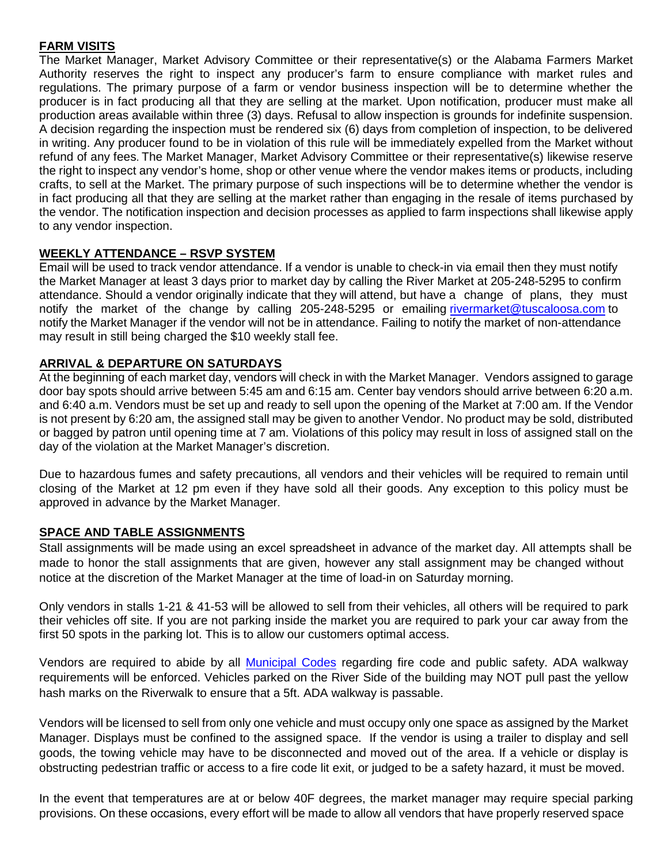# **FARM VISITS**

The Market Manager, Market Advisory Committee or their representative(s) or the Alabama Farmers Market Authority reserves the right to inspect any producer's farm to ensure compliance with market rules and regulations. The primary purpose of a farm or vendor business inspection will be to determine whether the producer is in fact producing all that they are selling at the market. Upon notification, producer must make all production areas available within three (3) days. Refusal to allow inspection is grounds for indefinite suspension. A decision regarding the inspection must be rendered six (6) days from completion of inspection, to be delivered in writing. Any producer found to be in violation of this rule will be immediately expelled from the Market without refund of any fees. The Market Manager, Market Advisory Committee or their representative(s) likewise reserve the right to inspect any vendor's home, shop or other venue where the vendor makes items or products, including crafts, to sell at the Market. The primary purpose of such inspections will be to determine whether the vendor is in fact producing all that they are selling at the market rather than engaging in the resale of items purchased by the vendor. The notification inspection and decision processes as applied to farm inspections shall likewise apply to any vendor inspection.

# **WEEKLY ATTENDANCE – RSVP SYSTEM**

Email will be used to track vendor attendance. If a vendor is unable to check-in via email then they must notify the Market Manager at least 3 days prior to market day by calling the River Market at 205-248-5295 to confirm attendance. Should a vendor originally indicate that they will attend, but have a change of plans, they must notify the market of the change by calling 205-248-5295 or emailing rivermarket@tuscaloosa.com to notify the Market [Manager if th](mailto:rivermarket@tuscaloosa.com)e vendor will not be in attendance. Failing to notify the market of non-attendance may result in still being charged the \$10 weekly stall fee.

# **ARRIVAL & DEPARTURE ON SATURDAYS**

At the beginning of each market day, vendors will check in with the Market Manager. Vendors assigned to garage door bay spots should arrive between 5:45 am and 6:15 am. Center bay vendors should arrive between 6:20 a.m. and 6:40 a.m. Vendors must be set up and ready to sell upon the opening of the Market at 7:00 am. If the Vendor is not present by 6:20 am, the assigned stall may be given to another Vendor. No product may be sold, distributed or bagged by patron until opening time at 7 am. Violations of this policy may result in loss of assigned stall on the day of the violation at the Market Manager's discretion.

Due to hazardous fumes and safety precautions, all vendors and their vehicles will be required to remain until closing of the Market at 12 pm even if they have sold all their goods. Any exception to this policy must be approved in advance by the Market Manager.

### **SPACE AND TABLE ASSIGNMENTS**

Stall assignments will be made using an excel spreadsheet in advance of the market day. All attempts shall be made to honor the stall assignments that are given, however any stall assignment may be changed without notice at the discretion of the Market Manager at the time of load-in on Saturday morning.

Only vendors in stalls 1-21 & 41-53 will be allowed to sell from their vehicles, all others will be required to park their vehicles off site. If you are not parking inside the market you are required to park your car away from the first 50 spots in the parking lot. This is to allow our customers optimal access.

Vendors are required to abide by all **Municipal Codes** regarding fire code and public safety. ADA walkway requirements will be enforced. Vehicles parked on the River Side of the building may NOT pull past the yellow hash marks on the Riverwalk to ensure that a 5ft. ADA walkway is passable.

Vendors will be licensed to sell from only one vehicle and must occupy only one space as assigned by the Market Manager. Displays must be confined to the assigned space. If the vendor is using a trailer to display and sell goods, the towing vehicle may have to be disconnected and moved out of the area. If a vehicle or display is obstructing pedestrian traffic or access to a fire code lit exit, or judged to be a safety hazard, it must be moved.

In the event that temperatures are at or below 40F degrees, the market manager may require special parking provisions. On these occasions, every effort will be made to allow all vendors that have properly reserved space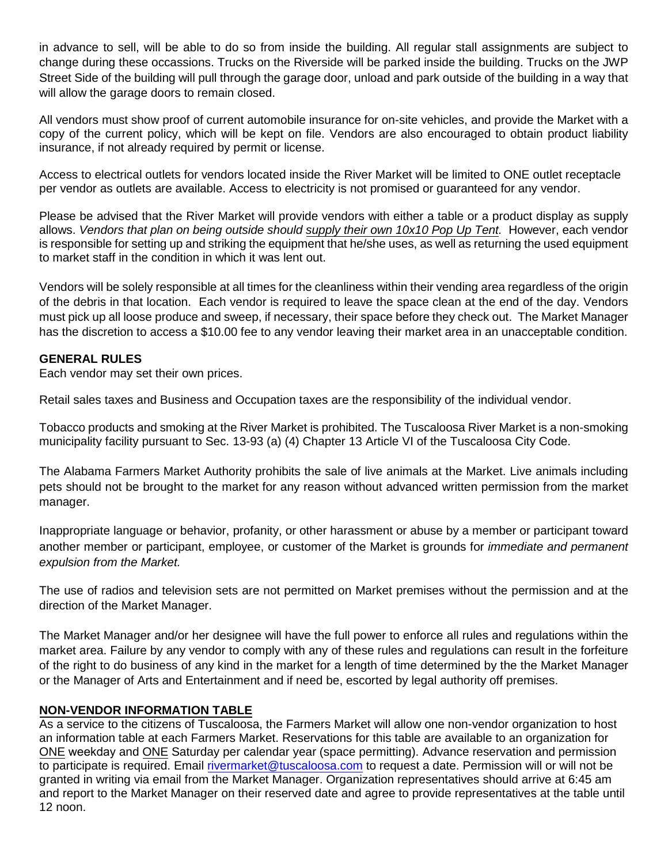in advance to sell, will be able to do so from inside the building. All regular stall assignments are subject to change during these occassions. Trucks on the Riverside will be parked inside the building. Trucks on the JWP Street Side of the building will pull through the garage door, unload and park outside of the building in a way that will allow the garage doors to remain closed.

All vendors must show proof of current automobile insurance for on-site vehicles, and provide the Market with a copy of the current policy, which will be kept on file. Vendors are also encouraged to obtain product liability insurance, if not already required by permit or license.

Access to electrical outlets for vendors located inside the River Market will be limited to ONE outlet receptacle per vendor as outlets are available. Access to electricity is not promised or guaranteed for any vendor.

Please be advised that the River Market will provide vendors with either a table or a product display as supply allows. *Vendors that plan on being outside should supply their own 10x10 Pop Up Tent.* However, each vendor is responsible for setting up and striking the equipment that he/she uses, as well as returning the used equipment to market staff in the condition in which it was lent out.

Vendors will be solely responsible at all times for the cleanliness within their vending area regardless of the origin of the debris in that location. Each vendor is required to leave the space clean at the end of the day. Vendors must pick up all loose produce and sweep, if necessary, their space before they check out. The Market Manager has the discretion to access a \$10.00 fee to any vendor leaving their market area in an unacceptable condition.

### **GENERAL RULES**

Each vendor may set their own prices.

Retail sales taxes and Business and Occupation taxes are the responsibility of the individual vendor.

Tobacco products and smoking at the River Market is prohibited. The Tuscaloosa River Market is a non-smoking municipality facility pursuant to Sec. 13-93 (a) (4) Chapter 13 Article VI of the Tuscaloosa City Code.

The Alabama Farmers Market Authority prohibits the sale of live animals at the Market. Live animals including pets should not be brought to the market for any reason without advanced written permission from the market manager.

Inappropriate language or behavior, profanity, or other harassment or abuse by a member or participant toward another member or participant, employee, or customer of the Market is grounds for *immediate and permanent expulsion from the Market.*

The use of radios and television sets are not permitted on Market premises without the permission and at the direction of the Market Manager.

The Market Manager and/or her designee will have the full power to enforce all rules and regulations within the market area. Failure by any vendor to comply with any of these rules and regulations can result in the forfeiture of the right to do business of any kind in the market for a length of time determined by the the Market Manager or the Manager of Arts and Entertainment and if need be, escorted by legal authority off premises.

### **NON-VENDOR INFORMATION TABLE**

As a service to the citizens of Tuscaloosa, the Farmers Market will allow one non-vendor organization to host an information table at each Farmers Market. Reservations for this table are available to an organization for ONE weekday and ONE Saturday per calendar year (space permitting). Advance reservation and permission to participate is required. Email [rivermarket@tuscaloosa.com](mailto:rivermarket@tuscaloosa.com) to request a date. Permission will or will not be granted in writing via email from the Market Manager. Organization representatives should arrive at 6:45 am and report to the Market Manager on their reserved date and agree to provide representatives at the table until 12 noon.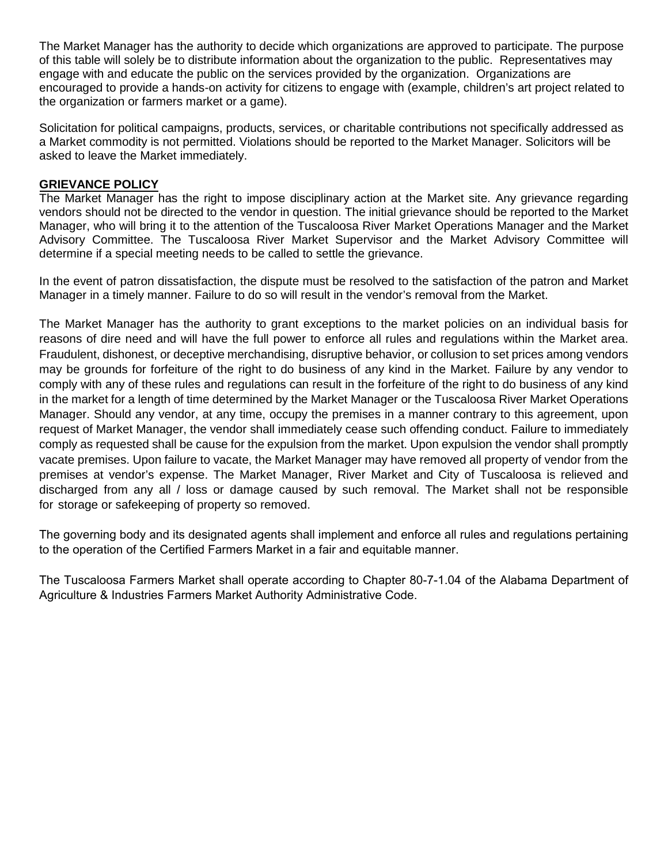The Market Manager has the authority to decide which organizations are approved to participate. The purpose of this table will solely be to distribute information about the organization to the public. Representatives may engage with and educate the public on the services provided by the organization. Organizations are encouraged to provide a hands-on activity for citizens to engage with (example, children's art project related to the organization or farmers market or a game).

Solicitation for political campaigns, products, services, or charitable contributions not specifically addressed as a Market commodity is not permitted. Violations should be reported to the Market Manager. Solicitors will be asked to leave the Market immediately.

#### **GRIEVANCE POLICY**

The Market Manager has the right to impose disciplinary action at the Market site. Any grievance regarding vendors should not be directed to the vendor in question. The initial grievance should be reported to the Market Manager, who will bring it to the attention of the Tuscaloosa River Market Operations Manager and the Market Advisory Committee. The Tuscaloosa River Market Supervisor and the Market Advisory Committee will determine if a special meeting needs to be called to settle the grievance.

In the event of patron dissatisfaction, the dispute must be resolved to the satisfaction of the patron and Market Manager in a timely manner. Failure to do so will result in the vendor's removal from the Market.

The Market Manager has the authority to grant exceptions to the market policies on an individual basis for reasons of dire need and will have the full power to enforce all rules and regulations within the Market area. Fraudulent, dishonest, or deceptive merchandising, disruptive behavior, or collusion to set prices among vendors may be grounds for forfeiture of the right to do business of any kind in the Market. Failure by any vendor to comply with any of these rules and regulations can result in the forfeiture of the right to do business of any kind in the market for a length of time determined by the Market Manager or the Tuscaloosa River Market Operations Manager. Should any vendor, at any time, occupy the premises in a manner contrary to this agreement, upon request of Market Manager, the vendor shall immediately cease such offending conduct. Failure to immediately comply as requested shall be cause for the expulsion from the market. Upon expulsion the vendor shall promptly vacate premises. Upon failure to vacate, the Market Manager may have removed all property of vendor from the premises at vendor's expense. The Market Manager, River Market and City of Tuscaloosa is relieved and discharged from any all / loss or damage caused by such removal. The Market shall not be responsible for storage or safekeeping of property so removed.

The governing body and its designated agents shall implement and enforce all rules and regulations pertaining to the operation of the Certified Farmers Market in a fair and equitable manner.

The Tuscaloosa Farmers Market shall operate according to Chapter 80-7-1.04 of the Alabama Department of Agriculture & Industries Farmers Market Authority Administrative Code.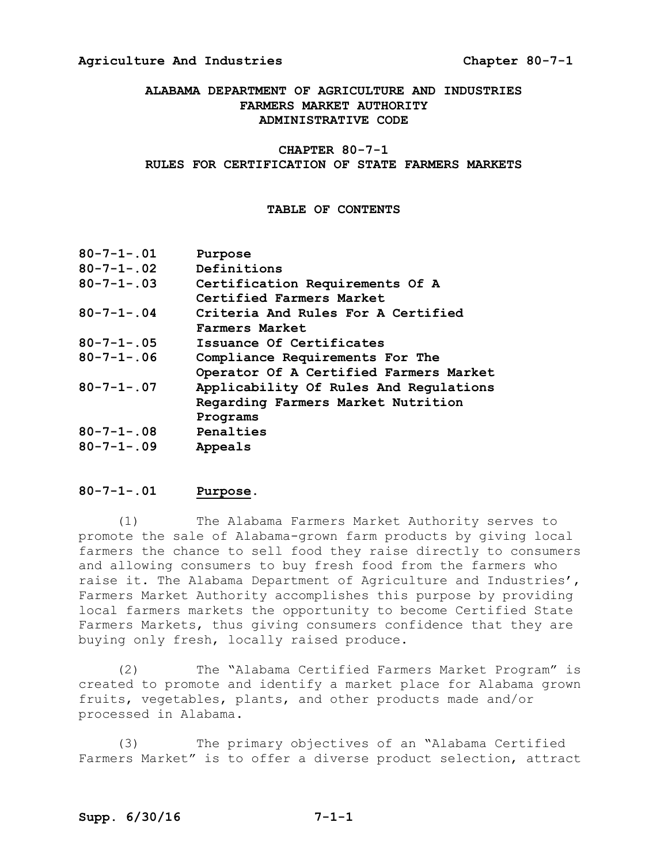#### **ALABAMA DEPARTMENT OF AGRICULTURE AND INDUSTRIES FARMERS MARKET AUTHORITY ADMINISTRATIVE CODE**

#### **CHAPTER 80-7-1**

#### **RULES FOR CERTIFICATION OF STATE FARMERS MARKETS**

#### **TABLE OF CONTENTS**

| $80 - 7 - 1 - .01$ | Purpose                                |
|--------------------|----------------------------------------|
| $80 - 7 - 1 - 02$  | Definitions                            |
| $80 - 7 - 1 - .03$ | Certification Requirements Of A        |
|                    | Certified Farmers Market               |
| $80 - 7 - 1 - 04$  | Criteria And Rules For A Certified     |
|                    | Farmers Market                         |
| $80 - 7 - 1 - .05$ | Issuance Of Certificates               |
| $80 - 7 - 1 - 06$  | Compliance Requirements For The        |
|                    | Operator Of A Certified Farmers Market |
| $80 - 7 - 1 - 07$  | Applicability Of Rules And Regulations |
|                    | Regarding Farmers Market Nutrition     |
|                    | Programs                               |
| $80 - 7 - 1 - .08$ | Penalties                              |
| $80 - 7 - 1 - 09$  | Appeals                                |

#### **80-7-1-.01 Purpose.**

(1) The Alabama Farmers Market Authority serves to promote the sale of Alabama-grown farm products by giving local farmers the chance to sell food they raise directly to consumers and allowing consumers to buy fresh food from the farmers who raise it. The Alabama Department of Agriculture and Industries', Farmers Market Authority accomplishes this purpose by providing local farmers markets the opportunity to become Certified State Farmers Markets, thus giving consumers confidence that they are buying only fresh, locally raised produce.

(2) The "Alabama Certified Farmers Market Program" is created to promote and identify a market place for Alabama grown fruits, vegetables, plants, and other products made and/or processed in Alabama.

(3) The primary objectives of an "Alabama Certified Farmers Market" is to offer a diverse product selection, attract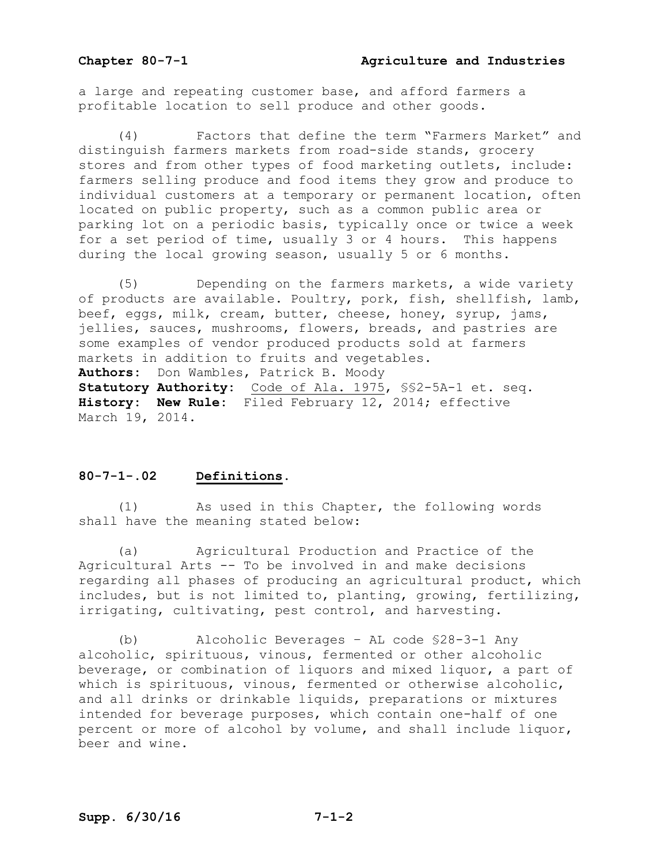a large and repeating customer base, and afford farmers a profitable location to sell produce and other goods.

 (4) Factors that define the term "Farmers Market" and distinguish farmers markets from road-side stands, grocery stores and from other types of food marketing outlets, include: farmers selling produce and food items they grow and produce to individual customers at a temporary or permanent location, often located on public property, such as a common public area or parking lot on a periodic basis, typically once or twice a week for a set period of time, usually 3 or 4 hours. This happens during the local growing season, usually 5 or 6 months.

(5) Depending on the farmers markets, a wide variety of products are available. Poultry, pork, fish, shellfish, lamb, beef, eggs, milk, cream, butter, cheese, honey, syrup, jams, jellies, sauces, mushrooms, flowers, breads, and pastries are some examples of vendor produced products sold at farmers markets in addition to fruits and vegetables. **Authors:** Don Wambles, Patrick B. Moody **Statutory Authority:** Code of Ala. 1975, §§2-5A-1 et. seq. **History: New Rule:** Filed February 12, 2014; effective March 19, 2014.

#### **80-7-1-.02 Definitions.**

 (1) As used in this Chapter, the following words shall have the meaning stated below:

 (a) Agricultural Production and Practice of the Agricultural Arts -- To be involved in and make decisions regarding all phases of producing an agricultural product, which includes, but is not limited to, planting, growing, fertilizing, irrigating, cultivating, pest control, and harvesting.

 (b) Alcoholic Beverages – AL code §28-3-1 Any alcoholic, spirituous, vinous, fermented or other alcoholic beverage, or combination of liquors and mixed liquor, a part of which is spirituous, vinous, fermented or otherwise alcoholic, and all drinks or drinkable liquids, preparations or mixtures intended for beverage purposes, which contain one-half of one percent or more of alcohol by volume, and shall include liquor, beer and wine.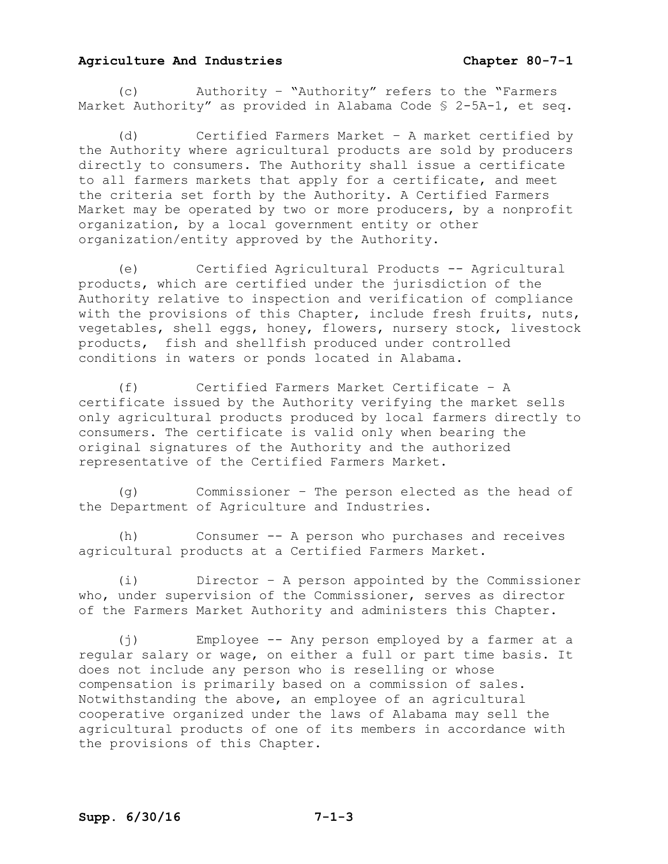(c) Authority – "Authority" refers to the "Farmers Market Authority" as provided in Alabama Code § 2-5A-1, et seq.

 (d) Certified Farmers Market – A market certified by the Authority where agricultural products are sold by producers directly to consumers. The Authority shall issue a certificate to all farmers markets that apply for a certificate, and meet the criteria set forth by the Authority. A Certified Farmers Market may be operated by two or more producers, by a nonprofit organization, by a local government entity or other organization/entity approved by the Authority.

 (e) Certified Agricultural Products -- Agricultural products, which are certified under the jurisdiction of the Authority relative to inspection and verification of compliance with the provisions of this Chapter, include fresh fruits, nuts, vegetables, shell eggs, honey, flowers, nursery stock, livestock products, fish and shellfish produced under controlled conditions in waters or ponds located in Alabama.

 (f) Certified Farmers Market Certificate – A certificate issued by the Authority verifying the market sells only agricultural products produced by local farmers directly to consumers. The certificate is valid only when bearing the original signatures of the Authority and the authorized representative of the Certified Farmers Market.

 (g) Commissioner – The person elected as the head of the Department of Agriculture and Industries.

 (h) Consumer -- A person who purchases and receives agricultural products at a Certified Farmers Market.

 (i) Director – A person appointed by the Commissioner who, under supervision of the Commissioner, serves as director of the Farmers Market Authority and administers this Chapter.

 (j) Employee -- Any person employed by a farmer at a regular salary or wage, on either a full or part time basis. It does not include any person who is reselling or whose compensation is primarily based on a commission of sales. Notwithstanding the above, an employee of an agricultural cooperative organized under the laws of Alabama may sell the agricultural products of one of its members in accordance with the provisions of this Chapter.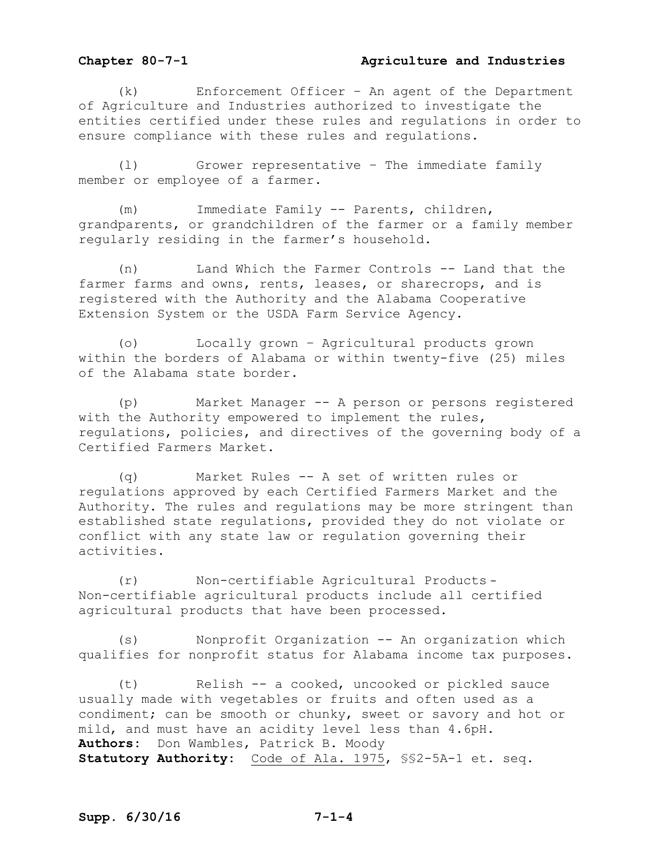#### **Chapter 80-7-1 Agriculture and Industries**

 (k) Enforcement Officer – An agent of the Department of Agriculture and Industries authorized to investigate the entities certified under these rules and regulations in order to ensure compliance with these rules and regulations.

 (l) Grower representative – The immediate family member or employee of a farmer.

 (m) Immediate Family -- Parents, children, grandparents, or grandchildren of the farmer or a family member regularly residing in the farmer's household.

 (n) Land Which the Farmer Controls -- Land that the farmer farms and owns, rents, leases, or sharecrops, and is registered with the Authority and the Alabama Cooperative Extension System or the USDA Farm Service Agency.

 (o) Locally grown – Agricultural products grown within the borders of Alabama or within twenty-five (25) miles of the Alabama state border.

 (p) Market Manager -- A person or persons registered with the Authority empowered to implement the rules, regulations, policies, and directives of the governing body of a Certified Farmers Market.

 (q) Market Rules -- A set of written rules or regulations approved by each Certified Farmers Market and the Authority. The rules and regulations may be more stringent than established state regulations, provided they do not violate or conflict with any state law or regulation governing their activities.

 (r) Non-certifiable Agricultural Products – Non-certifiable agricultural products include all certified agricultural products that have been processed.

 (s) Nonprofit Organization -- An organization which qualifies for nonprofit status for Alabama income tax purposes.

 (t) Relish -- a cooked, uncooked or pickled sauce usually made with vegetables or fruits and often used as a condiment; can be smooth or chunky, sweet or savory and hot or mild, and must have an acidity level less than 4.6pH. **Authors:** Don Wambles, Patrick B. Moody **Statutory Authority:** Code of Ala. 1975, §§2-5A-1 et. seq.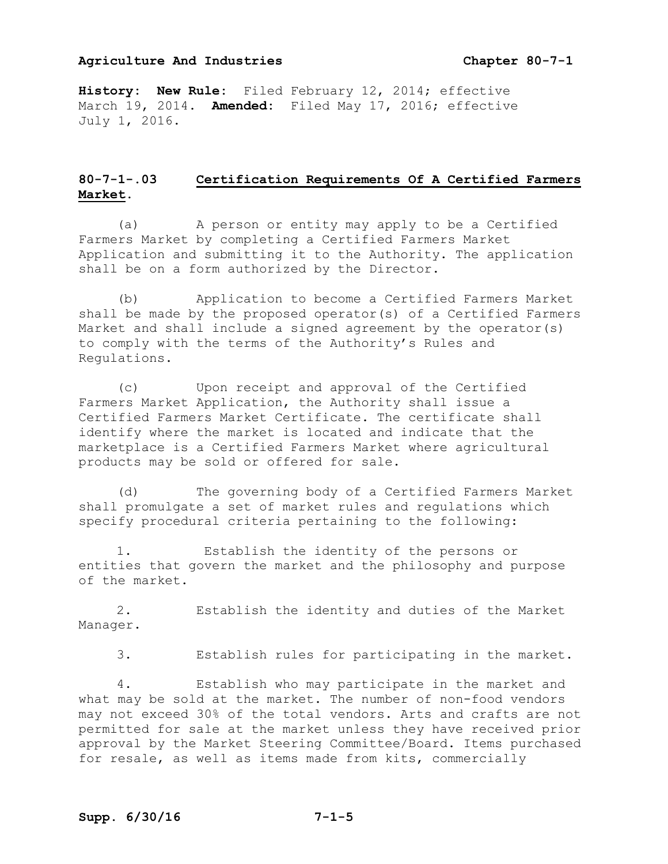**History: New Rule:** Filed February 12, 2014; effective March 19, 2014. **Amended:** Filed May 17, 2016; effective July 1, 2016.

#### **80-7-1-.03 Certification Requirements Of A Certified Farmers Market.**

 (a) A person or entity may apply to be a Certified Farmers Market by completing a Certified Farmers Market Application and submitting it to the Authority. The application shall be on a form authorized by the Director.

 (b) Application to become a Certified Farmers Market shall be made by the proposed operator(s) of a Certified Farmers Market and shall include a signed agreement by the operator(s) to comply with the terms of the Authority's Rules and Regulations.

 (c) Upon receipt and approval of the Certified Farmers Market Application, the Authority shall issue a Certified Farmers Market Certificate. The certificate shall identify where the market is located and indicate that the marketplace is a Certified Farmers Market where agricultural products may be sold or offered for sale.

 (d) The governing body of a Certified Farmers Market shall promulgate a set of market rules and regulations which specify procedural criteria pertaining to the following:

 1. Establish the identity of the persons or entities that govern the market and the philosophy and purpose of the market.

 2. Establish the identity and duties of the Market Manager.

3. Establish rules for participating in the market.

 4. Establish who may participate in the market and what may be sold at the market. The number of non-food vendors may not exceed 30% of the total vendors. Arts and crafts are not permitted for sale at the market unless they have received prior approval by the Market Steering Committee/Board. Items purchased for resale, as well as items made from kits, commercially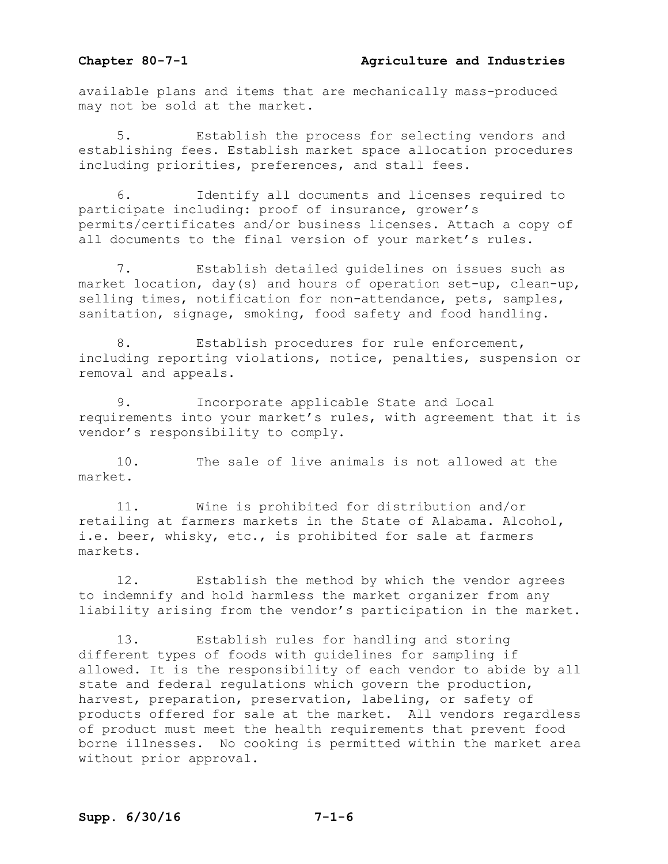#### **Chapter 80-7-1 Agriculture and Industries**

available plans and items that are mechanically mass-produced may not be sold at the market.

 5. Establish the process for selecting vendors and establishing fees. Establish market space allocation procedures including priorities, preferences, and stall fees.

 6. Identify all documents and licenses required to participate including: proof of insurance, grower's permits/certificates and/or business licenses. Attach a copy of all documents to the final version of your market's rules.

 7. Establish detailed guidelines on issues such as market location, day(s) and hours of operation set-up, clean-up, selling times, notification for non-attendance, pets, samples, sanitation, signage, smoking, food safety and food handling.

8. Establish procedures for rule enforcement, including reporting violations, notice, penalties, suspension or removal and appeals.

 9. Incorporate applicable State and Local requirements into your market's rules, with agreement that it is vendor's responsibility to comply.

 10. The sale of live animals is not allowed at the market.

 11. Wine is prohibited for distribution and/or retailing at farmers markets in the State of Alabama. Alcohol, i.e. beer, whisky, etc., is prohibited for sale at farmers markets.

 12. Establish the method by which the vendor agrees to indemnify and hold harmless the market organizer from any liability arising from the vendor's participation in the market.

 13. Establish rules for handling and storing different types of foods with guidelines for sampling if allowed. It is the responsibility of each vendor to abide by all state and federal regulations which govern the production, harvest, preparation, preservation, labeling, or safety of products offered for sale at the market. All vendors regardless of product must meet the health requirements that prevent food borne illnesses. No cooking is permitted within the market area without prior approval.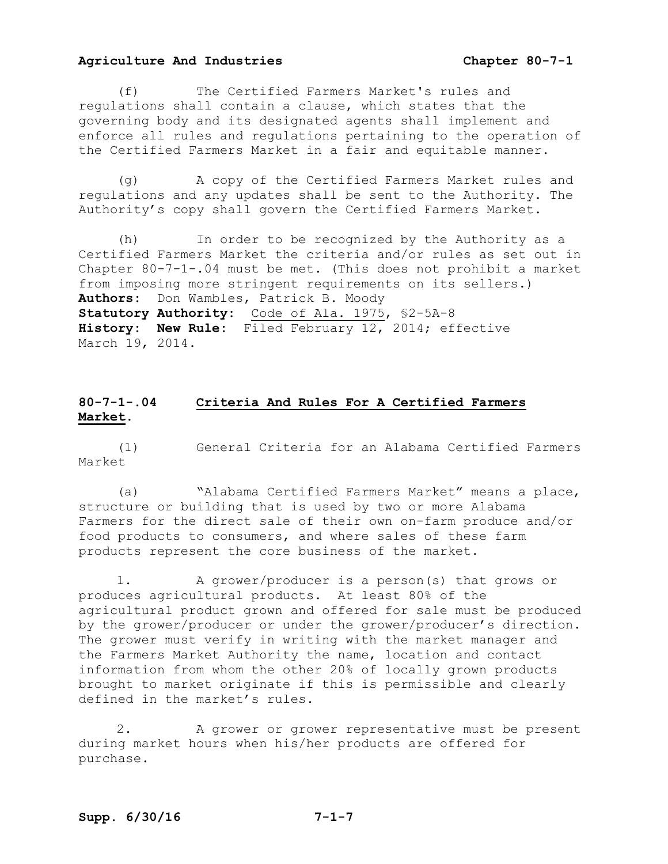(f) The Certified Farmers Market's rules and regulations shall contain a clause, which states that the governing body and its designated agents shall implement and enforce all rules and regulations pertaining to the operation of the Certified Farmers Market in a fair and equitable manner.

 (g) A copy of the Certified Farmers Market rules and regulations and any updates shall be sent to the Authority. The Authority's copy shall govern the Certified Farmers Market.

 (h) In order to be recognized by the Authority as a Certified Farmers Market the criteria and/or rules as set out in Chapter 80-7-1-.04 must be met. (This does not prohibit a market from imposing more stringent requirements on its sellers.) **Authors:** Don Wambles, Patrick B. Moody **Statutory Authority:** Code of Ala. 1975, §2-5A-8 **History: New Rule:** Filed February 12, 2014; effective March 19, 2014.

#### **80-7-1-.04 Criteria And Rules For A Certified Farmers Market.**

 (1) General Criteria for an Alabama Certified Farmers Market

 (a) "Alabama Certified Farmers Market" means a place, structure or building that is used by two or more Alabama Farmers for the direct sale of their own on-farm produce and/or food products to consumers, and where sales of these farm products represent the core business of the market.

 1. A grower/producer is a person(s) that grows or produces agricultural products. At least 80% of the agricultural product grown and offered for sale must be produced by the grower/producer or under the grower/producer's direction. The grower must verify in writing with the market manager and the Farmers Market Authority the name, location and contact information from whom the other 20% of locally grown products brought to market originate if this is permissible and clearly defined in the market's rules.

 2. A grower or grower representative must be present during market hours when his/her products are offered for purchase.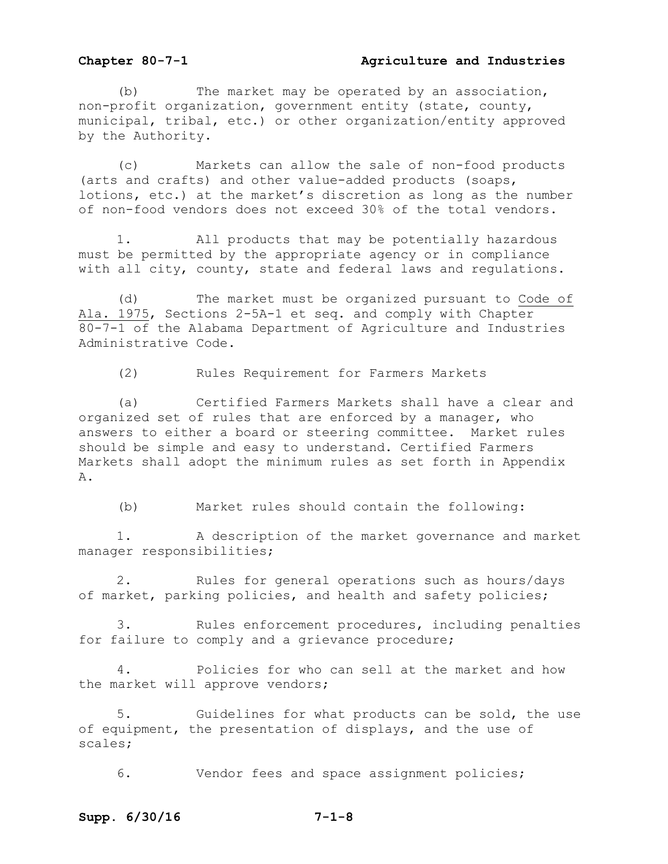#### **Chapter 80-7-1 Agriculture and Industries**

 (b) The market may be operated by an association, non-profit organization, government entity (state, county, municipal, tribal, etc.) or other organization/entity approved by the Authority.

 (c) Markets can allow the sale of non-food products (arts and crafts) and other value-added products (soaps, lotions, etc.) at the market's discretion as long as the number of non-food vendors does not exceed 30% of the total vendors.

1. All products that may be potentially hazardous must be permitted by the appropriate agency or in compliance with all city, county, state and federal laws and regulations.

 (d) The market must be organized pursuant to Code of Ala. 1975, Sections 2-5A-1 et seq. and comply with Chapter 80-7-1 of the Alabama Department of Agriculture and Industries Administrative Code.

(2) Rules Requirement for Farmers Markets

 (a) Certified Farmers Markets shall have a clear and organized set of rules that are enforced by a manager, who answers to either a board or steering committee. Market rules should be simple and easy to understand. Certified Farmers Markets shall adopt the minimum rules as set forth in Appendix A.

(b) Market rules should contain the following:

 1. A description of the market governance and market manager responsibilities;

 2. Rules for general operations such as hours/days of market, parking policies, and health and safety policies;

 3. Rules enforcement procedures, including penalties for failure to comply and a grievance procedure;

 4. Policies for who can sell at the market and how the market will approve vendors;

 5. Guidelines for what products can be sold, the use of equipment, the presentation of displays, and the use of scales;

6. Vendor fees and space assignment policies;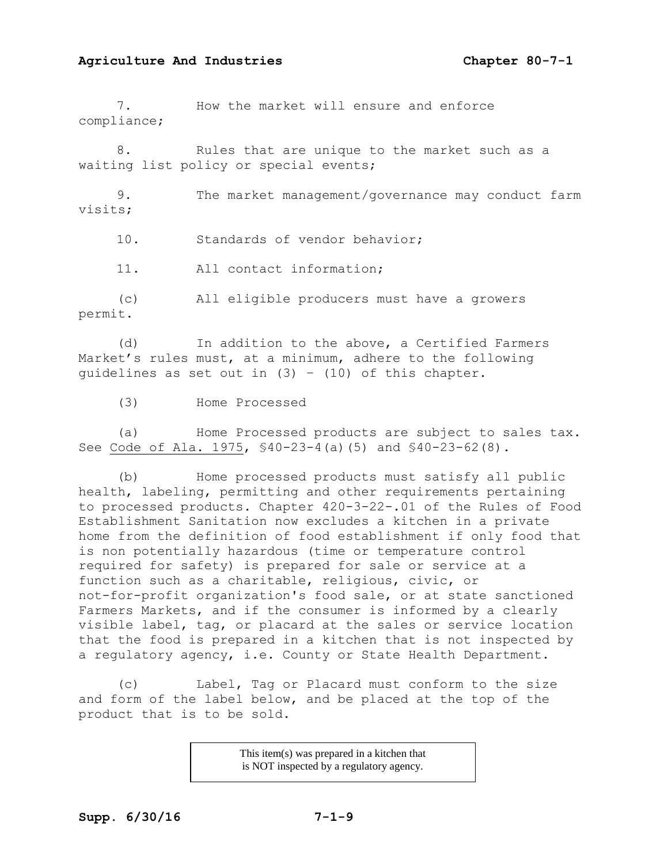7. How the market will ensure and enforce compliance;

 8. Rules that are unique to the market such as a waiting list policy or special events;

 9. The market management/governance may conduct farm visits;

10. Standards of vendor behavior;

11. All contact information;

 (c) All eligible producers must have a growers permit.

 (d) In addition to the above, a Certified Farmers Market's rules must, at a minimum, adhere to the following quidelines as set out in  $(3) - (10)$  of this chapter.

(3) Home Processed

 (a) Home Processed products are subject to sales tax. See Code of Ala. 1975, §40-23-4(a)(5) and §40-23-62(8).

 (b) Home processed products must satisfy all public health, labeling, permitting and other requirements pertaining to processed products. Chapter 420-3-22-.01 of the Rules of Food Establishment Sanitation now excludes a kitchen in a private home from the definition of food establishment if only food that is non potentially hazardous (time or temperature control required for safety) is prepared for sale or service at a function such as a charitable, religious, civic, or not-for-profit organization's food sale, or at state sanctioned Farmers Markets, and if the consumer is informed by a clearly visible label, tag, or placard at the sales or service location that the food is prepared in a kitchen that is not inspected by a regulatory agency, i.e. County or State Health Department.

(c) Label, Tag or Placard must conform to the size and form of the label below, and be placed at the top of the product that is to be sold.

> This item(s) was prepared in a kitchen that is NOT inspected by a regulatory agency.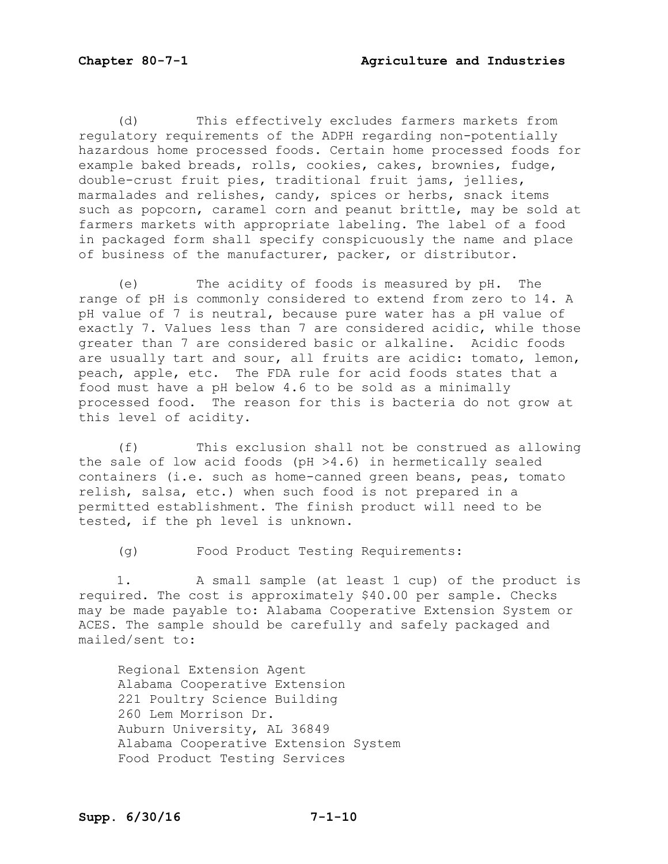(d) This effectively excludes farmers markets from regulatory requirements of the ADPH regarding non-potentially hazardous home processed foods. Certain home processed foods for example baked breads, rolls, cookies, cakes, brownies, fudge, double-crust fruit pies, traditional fruit jams, jellies, marmalades and relishes, candy, spices or herbs, snack items such as popcorn, caramel corn and peanut brittle, may be sold at farmers markets with appropriate labeling. The label of a food in packaged form shall specify conspicuously the name and place of business of the manufacturer, packer, or distributor.

 (e) The acidity of foods is measured by pH. The range of pH is commonly considered to extend from zero to 14. A pH value of 7 is neutral, because pure water has a pH value of exactly 7. Values less than 7 are considered acidic, while those greater than 7 are considered basic or alkaline. Acidic foods are usually tart and sour, all fruits are acidic: tomato, lemon, peach, apple, etc. The FDA rule for acid foods states that a food must have a pH below 4.6 to be sold as a minimally processed food. The reason for this is bacteria do not grow at this level of acidity.

 (f) This exclusion shall not be construed as allowing the sale of low acid foods (pH  $>4.6$ ) in hermetically sealed containers (i.e. such as home-canned green beans, peas, tomato relish, salsa, etc.) when such food is not prepared in a permitted establishment. The finish product will need to be tested, if the ph level is unknown.

(g) Food Product Testing Requirements:

 1. A small sample (at least 1 cup) of the product is required. The cost is approximately \$40.00 per sample. Checks may be made payable to: Alabama Cooperative Extension System or ACES. The sample should be carefully and safely packaged and mailed/sent to:

 Regional Extension Agent Alabama Cooperative Extension 221 Poultry Science Building 260 Lem Morrison Dr. Auburn University, AL 36849 Alabama Cooperative Extension System Food Product Testing Services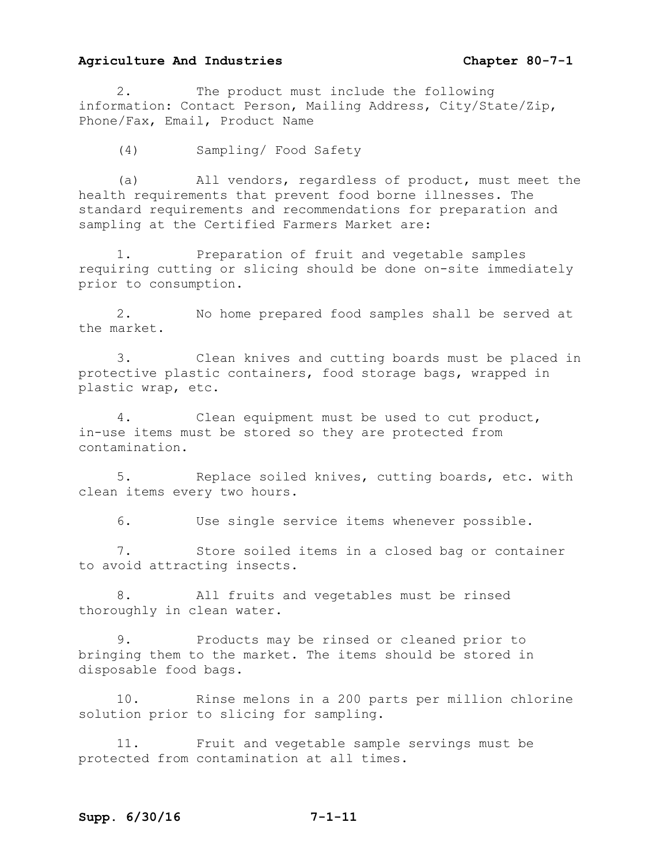2. The product must include the following information: Contact Person, Mailing Address, City/State/Zip, Phone/Fax, Email, Product Name

(4) Sampling/ Food Safety

 (a) All vendors, regardless of product, must meet the health requirements that prevent food borne illnesses. The standard requirements and recommendations for preparation and sampling at the Certified Farmers Market are:

 1. Preparation of fruit and vegetable samples requiring cutting or slicing should be done on-site immediately prior to consumption.

 2. No home prepared food samples shall be served at the market.

 3. Clean knives and cutting boards must be placed in protective plastic containers, food storage bags, wrapped in plastic wrap, etc.

 4. Clean equipment must be used to cut product, in-use items must be stored so they are protected from contamination.

 5. Replace soiled knives, cutting boards, etc. with clean items every two hours.

6. Use single service items whenever possible.

 7. Store soiled items in a closed bag or container to avoid attracting insects.

 8. All fruits and vegetables must be rinsed thoroughly in clean water.

 9. Products may be rinsed or cleaned prior to bringing them to the market. The items should be stored in disposable food bags.

 10. Rinse melons in a 200 parts per million chlorine solution prior to slicing for sampling.

 11. Fruit and vegetable sample servings must be protected from contamination at all times.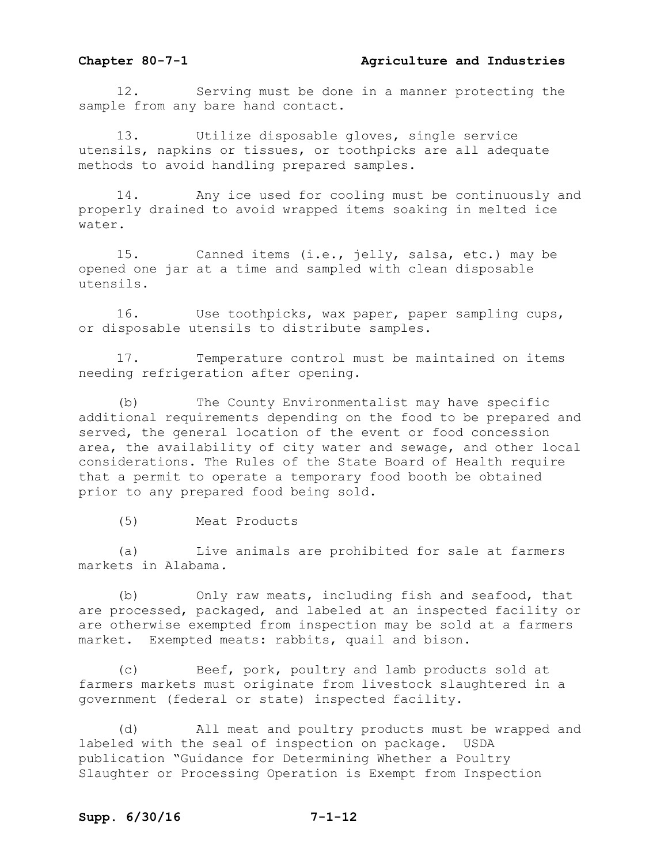#### **Chapter 80-7-1 Agriculture and Industries**

 12. Serving must be done in a manner protecting the sample from any bare hand contact.

 13. Utilize disposable gloves, single service utensils, napkins or tissues, or toothpicks are all adequate methods to avoid handling prepared samples.

 14. Any ice used for cooling must be continuously and properly drained to avoid wrapped items soaking in melted ice water.

 15. Canned items (i.e., jelly, salsa, etc.) may be opened one jar at a time and sampled with clean disposable utensils.

 16. Use toothpicks, wax paper, paper sampling cups, or disposable utensils to distribute samples.

 17. Temperature control must be maintained on items needing refrigeration after opening.

 (b) The County Environmentalist may have specific additional requirements depending on the food to be prepared and served, the general location of the event or food concession area, the availability of city water and sewage, and other local considerations. The Rules of the State Board of Health require that a permit to operate a temporary food booth be obtained prior to any prepared food being sold.

(5) Meat Products

 (a) Live animals are prohibited for sale at farmers markets in Alabama*.*

 (b) Only raw meats, including fish and seafood, that are processed, packaged, and labeled at an inspected facility or are otherwise exempted from inspection may be sold at a farmers market. Exempted meats: rabbits, quail and bison.

 (c) Beef, pork, poultry and lamb products sold at farmers markets must originate from livestock slaughtered in a government (federal or state) inspected facility.

 (d) All meat and poultry products must be wrapped and labeled with the seal of inspection on package. USDA publication "Guidance for Determining Whether a Poultry Slaughter or Processing Operation is Exempt from Inspection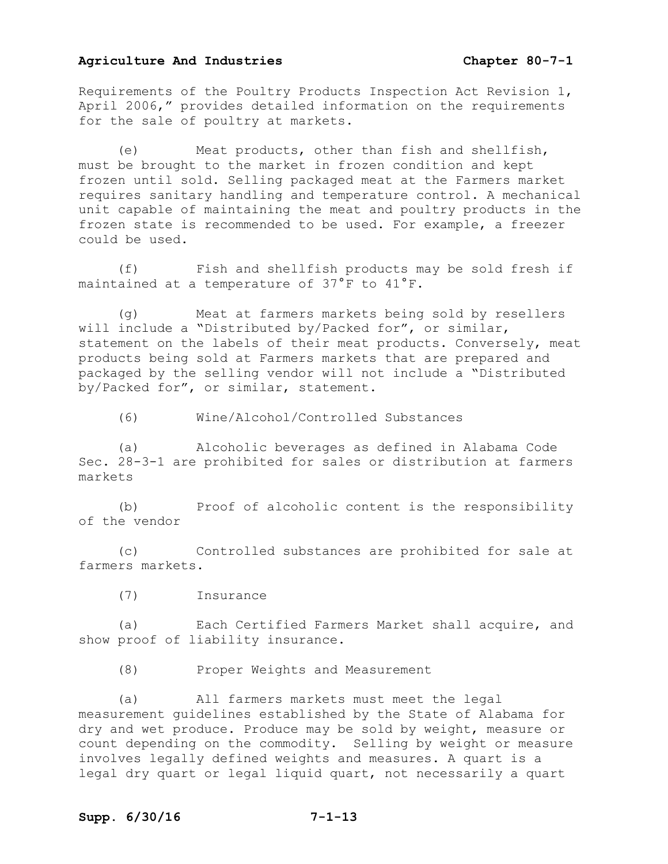Requirements of the Poultry Products Inspection Act Revision 1, April 2006," provides detailed information on the requirements for the sale of poultry at markets.

 (e) Meat products, other than fish and shellfish, must be brought to the market in frozen condition and kept frozen until sold. Selling packaged meat at the Farmers market requires sanitary handling and temperature control. A mechanical unit capable of maintaining the meat and poultry products in the frozen state is recommended to be used. For example, a freezer could be used.

 (f) Fish and shellfish products may be sold fresh if maintained at a temperature of 37°F to 41°F.

 (g) Meat at farmers markets being sold by resellers will include a "Distributed by/Packed for", or similar, statement on the labels of their meat products. Conversely, meat products being sold at Farmers markets that are prepared and packaged by the selling vendor will not include a "Distributed by/Packed for", or similar, statement.

(6) Wine/Alcohol/Controlled Substances

 (a) Alcoholic beverages as defined in Alabama Code Sec. 28-3-1 are prohibited for sales or distribution at farmers markets

 (b) Proof of alcoholic content is the responsibility of the vendor

 (c) Controlled substances are prohibited for sale at farmers markets.

(7) Insurance

 (a) Each Certified Farmers Market shall acquire, and show proof of liability insurance.

(8) Proper Weights and Measurement

 (a) All farmers markets must meet the legal measurement guidelines established by the State of Alabama for dry and wet produce. Produce may be sold by weight, measure or count depending on the commodity. Selling by weight or measure involves legally defined weights and measures. A quart is a legal dry quart or legal liquid quart, not necessarily a quart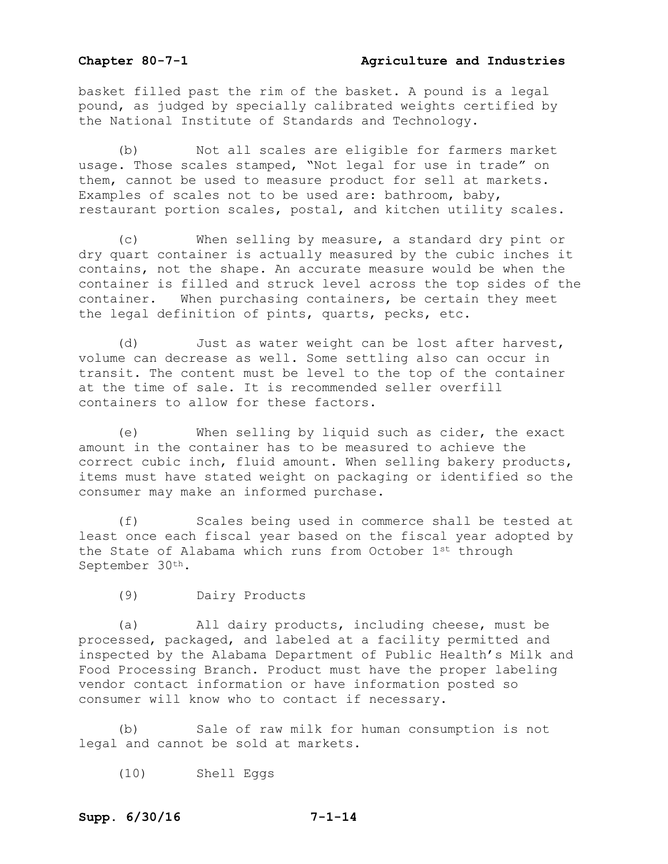#### **Chapter 80-7-1 Agriculture and Industries**

basket filled past the rim of the basket. A pound is a legal pound, as judged by specially calibrated weights certified by the National Institute of Standards and Technology.

 (b) Not all scales are eligible for farmers market usage. Those scales stamped, "Not legal for use in trade" on them, cannot be used to measure product for sell at markets. Examples of scales not to be used are: bathroom, baby, restaurant portion scales, postal, and kitchen utility scales.

 (c) When selling by measure, a standard dry pint or dry quart container is actually measured by the cubic inches it contains, not the shape. An accurate measure would be when the container is filled and struck level across the top sides of the container. When purchasing containers, be certain they meet the legal definition of pints, quarts, pecks, etc.

 (d) Just as water weight can be lost after harvest, volume can decrease as well. Some settling also can occur in transit. The content must be level to the top of the container at the time of sale. It is recommended seller overfill containers to allow for these factors.

 (e) When selling by liquid such as cider, the exact amount in the container has to be measured to achieve the correct cubic inch, fluid amount. When selling bakery products, items must have stated weight on packaging or identified so the consumer may make an informed purchase.

 (f) Scales being used in commerce shall be tested at least once each fiscal year based on the fiscal year adopted by the State of Alabama which runs from October 1st through September 30th.

(9) Dairy Products

 (a) All dairy products, including cheese, must be processed, packaged, and labeled at a facility permitted and inspected by the Alabama Department of Public Health's Milk and Food Processing Branch. Product must have the proper labeling vendor contact information or have information posted so consumer will know who to contact if necessary.

 (b) Sale of raw milk for human consumption is not legal and cannot be sold at markets.

(10) Shell Eggs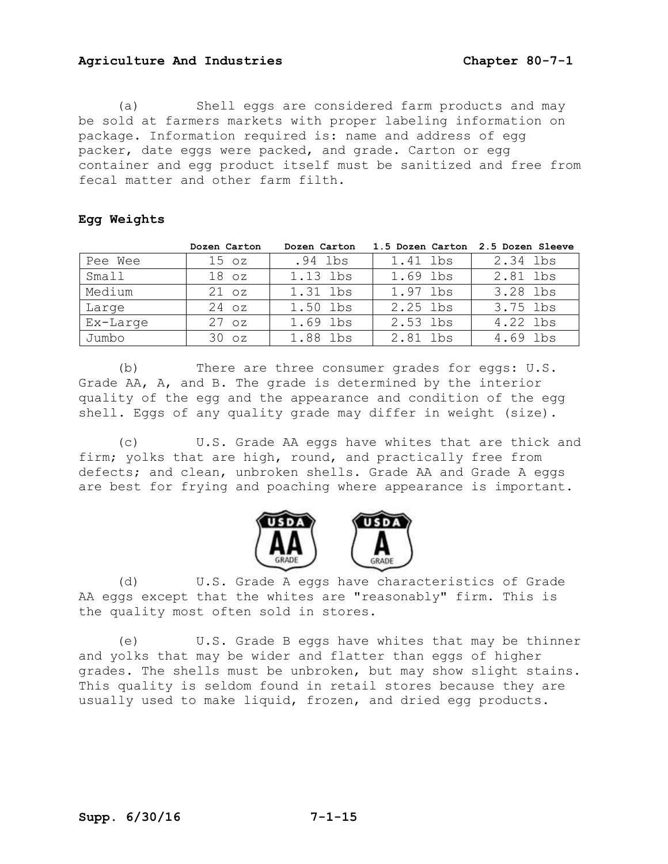(a) Shell eggs are considered farm products and may be sold at farmers markets with proper labeling information on package. Information required is: name and address of egg packer, date eggs were packed, and grade. Carton or egg container and egg product itself must be sanitized and free from fecal matter and other farm filth.

#### **Egg Weights**

|          | Dozen Carton     | Dozen Carton |          | 1.5 Dozen Carton 2.5 Dozen Sleeve |
|----------|------------------|--------------|----------|-----------------------------------|
| Pee Wee  | 15 <sub>oz</sub> | .94 lbs      | 1.41 lbs | 2.34 lbs                          |
| Small    | 18 <sub>oz</sub> | 1.13 lbs     | 1.69 lbs | 2.81 lbs                          |
| Medium   | $21$ $oz$        | 1.31 lbs     | 1.97 lbs | 3.28 lbs                          |
| Large    | 24 oz            | 1.50 lbs     | 2.25 lbs | 3.75 lbs                          |
| Ex-Large | $27 \text{ oz}$  | 1.69 lbs     | 2.53 lbs | 4.22 lbs                          |
| Jumbo    | 30 <sub>oz</sub> | 1.88 lbs     | 2.81 lbs | 4.69 lbs                          |

 (b) There are three consumer grades for eggs: U.S. Grade AA, A, and B. The grade is determined by the interior quality of the egg and the appearance and condition of the egg shell. Eggs of any quality grade may differ in weight (size).

 (c) U.S. Grade AA eggs have whites that are thick and firm; yolks that are high, round, and practically free from defects; and clean, unbroken shells. Grade AA and Grade A eggs are best for frying and poaching where appearance is important.



(d) U.S. Grade A eggs have characteristics of Grade AA eggs except that the whites are "reasonably" firm. This is the quality most often sold in stores.

 (e) U.S. Grade B eggs have whites that may be thinner and yolks that may be wider and flatter than eggs of higher grades. The shells must be unbroken, but may show slight stains. This quality is seldom found in retail stores because they are usually used to make liquid, frozen, and dried egg products.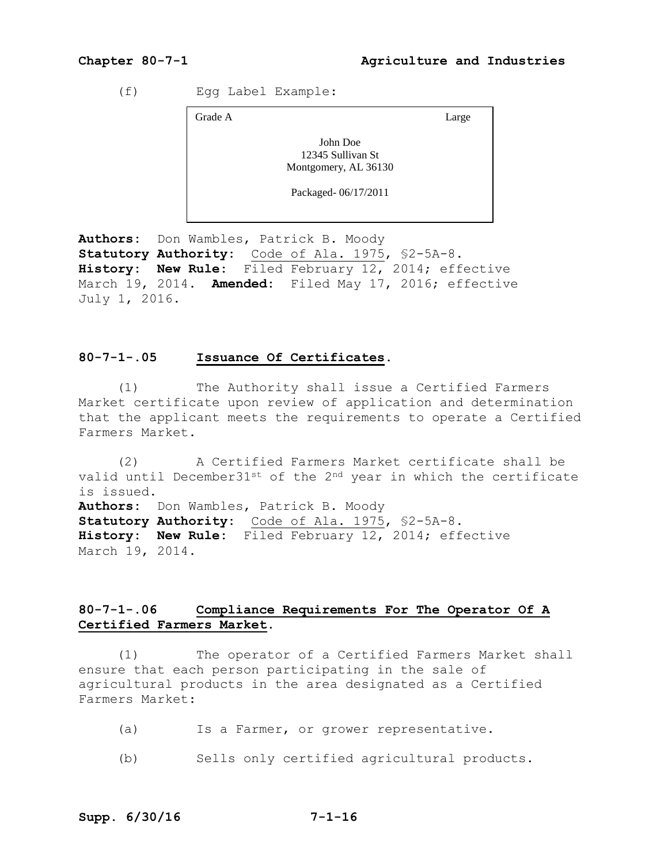(f) Egg Label Example:

Grade A Large

John Doe 12345 Sullivan St Montgomery, AL 36130

Packaged- 06/17/2011

**Authors:** Don Wambles, Patrick B. Moody **Statutory Authority:** Code of Ala. 1975, §2-5A-8. **History: New Rule:** Filed February 12, 2014; effective March 19, 2014. **Amended:** Filed May 17, 2016; effective July 1, 2016.

#### **80-7-1-.05 Issuance Of Certificates.**

 (1) The Authority shall issue a Certified Farmers Market certificate upon review of application and determination that the applicant meets the requirements to operate a Certified Farmers Market.

 (2) A Certified Farmers Market certificate shall be valid until December31st of the 2<sup>nd</sup> year in which the certificate is issued. **Authors:** Don Wambles, Patrick B. Moody **Statutory Authority:** Code of Ala. 1975, §2-5A-8. **History: New Rule:** Filed February 12, 2014; effective March 19, 2014.

#### **80-7-1-.06 Compliance Requirements For The Operator Of A Certified Farmers Market.**

 (1) The operator of a Certified Farmers Market shall ensure that each person participating in the sale of agricultural products in the area designated as a Certified Farmers Market:

- (a) Is a Farmer, or grower representative.
- (b) Sells only certified agricultural products.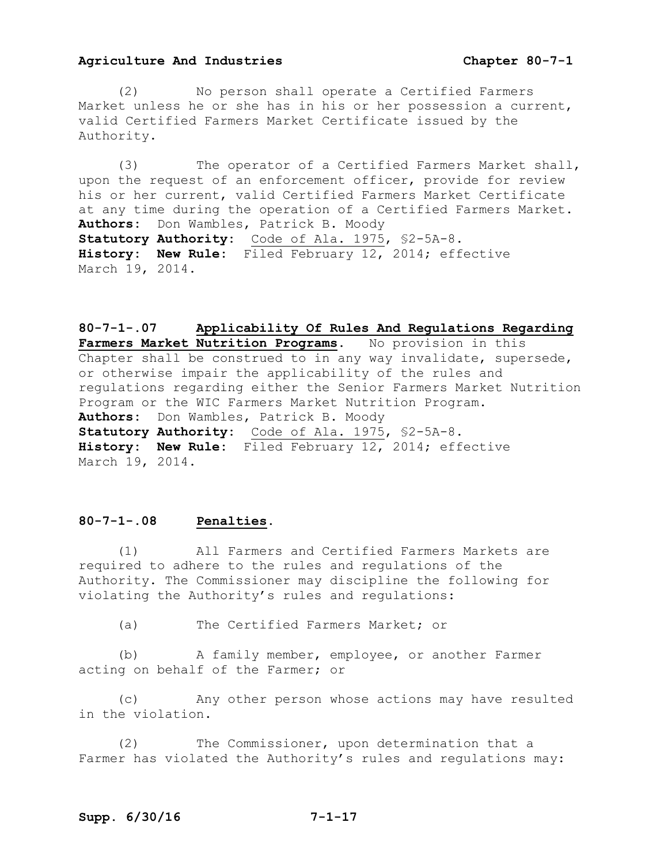(2) No person shall operate a Certified Farmers Market unless he or she has in his or her possession a current, valid Certified Farmers Market Certificate issued by the Authority.

 (3) The operator of a Certified Farmers Market shall, upon the request of an enforcement officer, provide for review his or her current, valid Certified Farmers Market Certificate at any time during the operation of a Certified Farmers Market. **Authors:** Don Wambles, Patrick B. Moody **Statutory Authority:** Code of Ala. 1975, §2-5A-8. **History: New Rule:** Filed February 12, 2014; effective March 19, 2014.

**80-7-1-.07 Applicability Of Rules And Regulations Regarding Farmers Market Nutrition Programs.** No provision in this Chapter shall be construed to in any way invalidate, supersede, or otherwise impair the applicability of the rules and regulations regarding either the Senior Farmers Market Nutrition Program or the WIC Farmers Market Nutrition Program. **Authors:** Don Wambles, Patrick B. Moody **Statutory Authority:** Code of Ala. 1975, §2-5A-8. **History: New Rule:** Filed February 12, 2014; effective March 19, 2014.

### **80-7-1-.08 Penalties.**

 (1) All Farmers and Certified Farmers Markets are required to adhere to the rules and regulations of the Authority. The Commissioner may discipline the following for violating the Authority's rules and regulations:

(a) The Certified Farmers Market; or

 (b) A family member, employee, or another Farmer acting on behalf of the Farmer; or

 (c) Any other person whose actions may have resulted in the violation.

 (2) The Commissioner, upon determination that a Farmer has violated the Authority's rules and regulations may: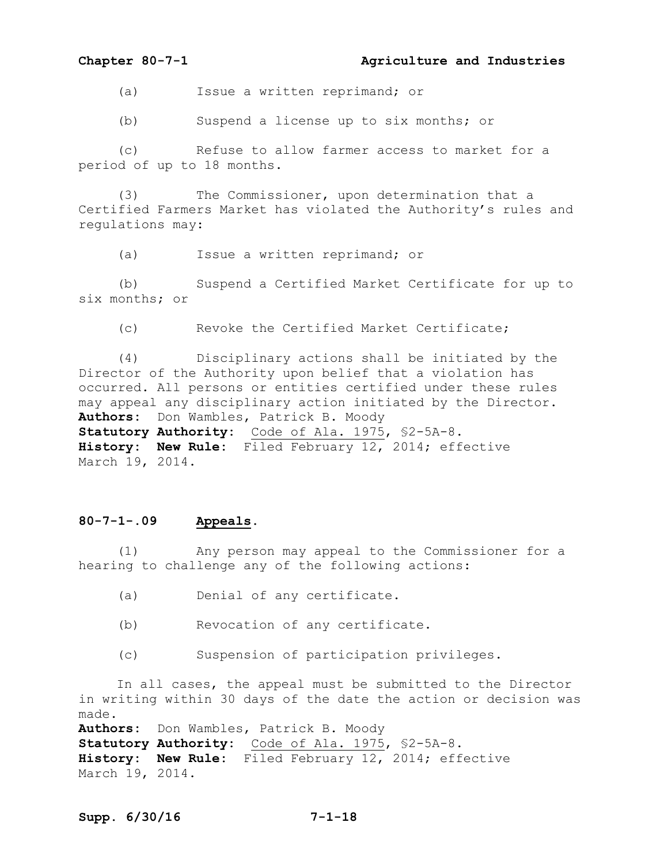(a) Issue a written reprimand; or

(b) Suspend a license up to six months; or

 (c) Refuse to allow farmer access to market for a period of up to 18 months.

 (3) The Commissioner, upon determination that a Certified Farmers Market has violated the Authority's rules and regulations may:

(a) Issue a written reprimand; or

 (b) Suspend a Certified Market Certificate for up to six months; or

(c) Revoke the Certified Market Certificate;

 (4) Disciplinary actions shall be initiated by the Director of the Authority upon belief that a violation has occurred. All persons or entities certified under these rules may appeal any disciplinary action initiated by the Director. **Authors:** Don Wambles, Patrick B. Moody **Statutory Authority:** Code of Ala. 1975, §2-5A-8. **History: New Rule:** Filed February 12, 2014; effective March 19, 2014.

#### **80-7-1-.09 Appeals.**

 (1) Any person may appeal to the Commissioner for a hearing to challenge any of the following actions:

- (a) Denial of any certificate.
- (b) Revocation of any certificate.
- (c) Suspension of participation privileges.

 In all cases, the appeal must be submitted to the Director in writing within 30 days of the date the action or decision was made.

**Authors:** Don Wambles, Patrick B. Moody **Statutory Authority:** Code of Ala. 1975, §2-5A-8. **History: New Rule:** Filed February 12, 2014; effective March 19, 2014.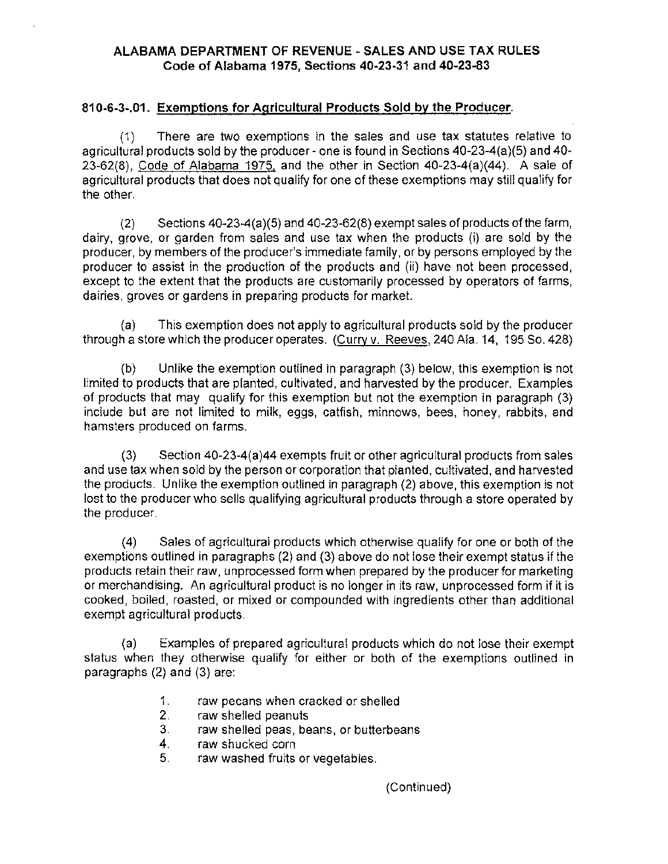### **ALABAMA DEPARTMENT OF REVENUE -SALES AND USE TAX RULES Code of Alabama 1975, Sections 40-23-31 and 40-23-83**

### **810-6-3-.01. Exemptions for Agricultural Products Sold by the Producer.**

(1) There are two exemptions in the sales and use tax statutes relative to agricultural products sold by the producer- one is found in Sections 40-23-4(a)(5) and 40- 23-62(8), Code of Alabama 1975, and the other in Section 40-23-4(a)(44). A sale of agricultural products that does not qualify for one of these exemptions may still qualify for the other.

(2) Sections 40-23-4(a)(5) and 40-23-62(8) exempt sales of products of the farm, dairy, grove, or garden from sales and use tax when the products (i) are sold by the producer, by members of the producer's immediate family, or by persons employed by the producer to assist in the production of the products and (ii) have not been processed, except to the extent that the products are customarily processed by operators of farms, dairies, groves or gardens in preparing products for market.

(a) This exemption does not apply to agricultural products sold by the producer through a store which the producer operates. (Curry v. Reeves, 240 Ala. 14, 195 So. 428)

(b) Unlike the exemption outlined in paragraph (3) below, this exemption is not limited to products that are planted, cultivated, and harvested by the producer. Examples of products that may qualify for this exemption but not the exemption in paragraph (3) include but are not limited to milk, eggs, catfish, minnows, bees, honey, rabbits, and hamsters produced on farms.

(3) Section 40-23-4(a)44 exempts fruit or other agricultural products from sales and use tax when sold by the person or corporation that planted, cultivated, and harvested the products. Unlike the exemption outlined in paragraph (2) above, this exemption is not lost to the producer who sells qualifying agricultural products through a store operated by the producer.

(4) Sales of agricultural products which otherwise qualify for one or both of the exemptions outlined in paragraphs (2) and (3) above do not lose their exempt status if the products retain their raw, unprocessed form when prepared by the producer for marketing or merchandising. An agricultural product is no longer in its raw, unprocessed form if it is cooked, boiled, roasted, or mixed or compounded with ingredients other than additional exempt agricultural products.

(a) Examples of prepared agricultural products which do not lose their exempt status when they otherwise qualify for either or both of the exemptions outlined in paragraphs (2) and (3) are:

- 1. raw pecans when cracked or shelled
- 2. raw shelled peanuts
- 3. raw shelled peas, beans, or butterbeans
- 4. raw shucked corn
- 5. raw washed fruits or vegetables.

(Continued)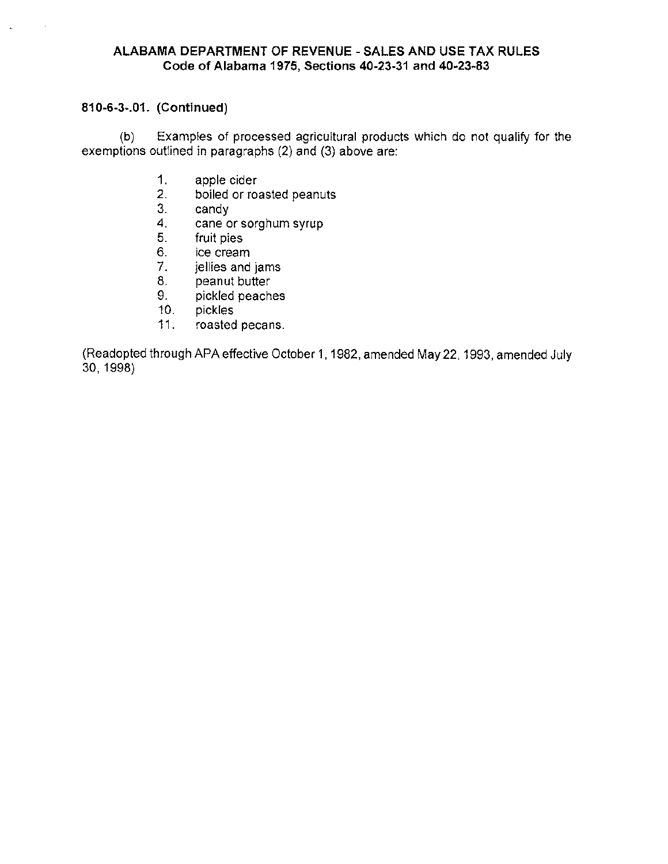### **ALABAMA DEPARTMENT OF REVENUE -SALES AND USE TAX RULES Code of Alabama 1975, Sections 40-23-31 and 40-23-83**

## **810-6-3-.01. (Continued)**

(b) Examples of processed agricultural products which do not qualify for the exemptions outlined in paragraphs (2) and (3) above are:

- 1. apple cider<br>2. boiled or rox
- boiled or roasted peanuts
- 3. candy<br>4. cane o
- cane or sorghum syrup
- 5. fruit pies
- 6. ice cream
- 7. jellies and jams
- 8. peanut butter
- 9. pickled peaches
- 10. pickles
- 11. roasted pecans.

(Readopted through APA effective October 1, 1982, amended May 22, 1993, amended July 30, 1998)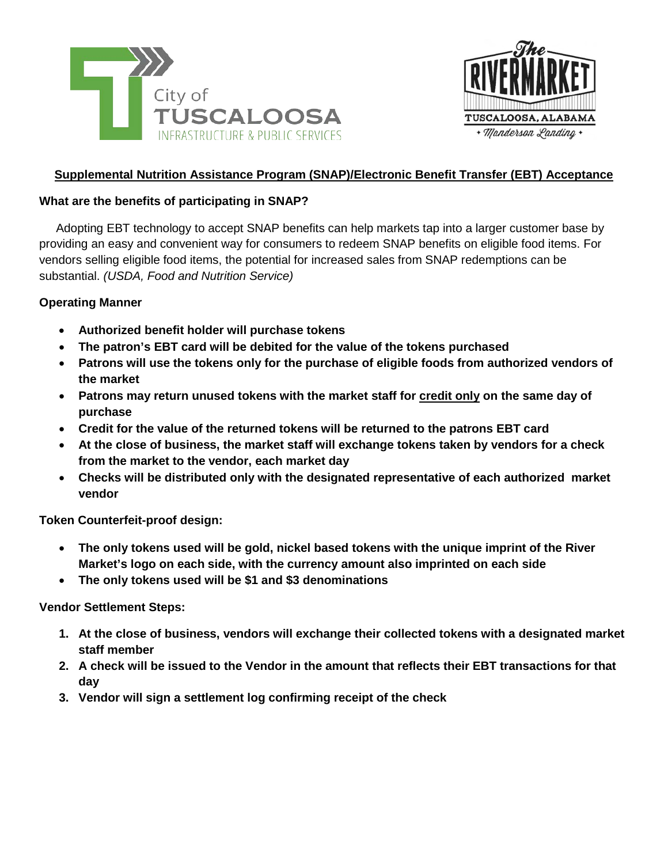



# **Supplemental Nutrition Assistance Program (SNAP)/Electronic Benefit Transfer (EBT) Acceptance**

# **What are the benefits of participating in SNAP?**

 Adopting EBT technology to accept SNAP benefits can help markets tap into a larger customer base by providing an easy and convenient way for consumers to redeem SNAP benefits on eligible food items. For vendors selling eligible food items, the potential for increased sales from SNAP redemptions can be substantial. *(USDA, Food and Nutrition Service)*

# **Operating Manner**

- **Authorized benefit holder will purchase tokens**
- **The patron's EBT card will be debited for the value of the tokens purchased**
- **Patrons will use the tokens only for the purchase of eligible foods from authorized vendors of the market**
- **Patrons may return unused tokens with the market staff for credit only on the same day of purchase**
- **Credit for the value of the returned tokens will be returned to the patrons EBT card**
- **At the close of business, the market staff will exchange tokens taken by vendors for a check from the market to the vendor, each market day**
- **Checks will be distributed only with the designated representative of each authorized market vendor**

**Token Counterfeit-proof design:**

- **The only tokens used will be gold, nickel based tokens with the unique imprint of the River Market's logo on each side, with the currency amount also imprinted on each side**
- **The only tokens used will be \$1 and \$3 denominations**

**Vendor Settlement Steps:**

- **1. At the close of business, vendors will exchange their collected tokens with a designated market staff member**
- **2. A check will be issued to the Vendor in the amount that reflects their EBT transactions for that day**
- **3. Vendor will sign a settlement log confirming receipt of the check**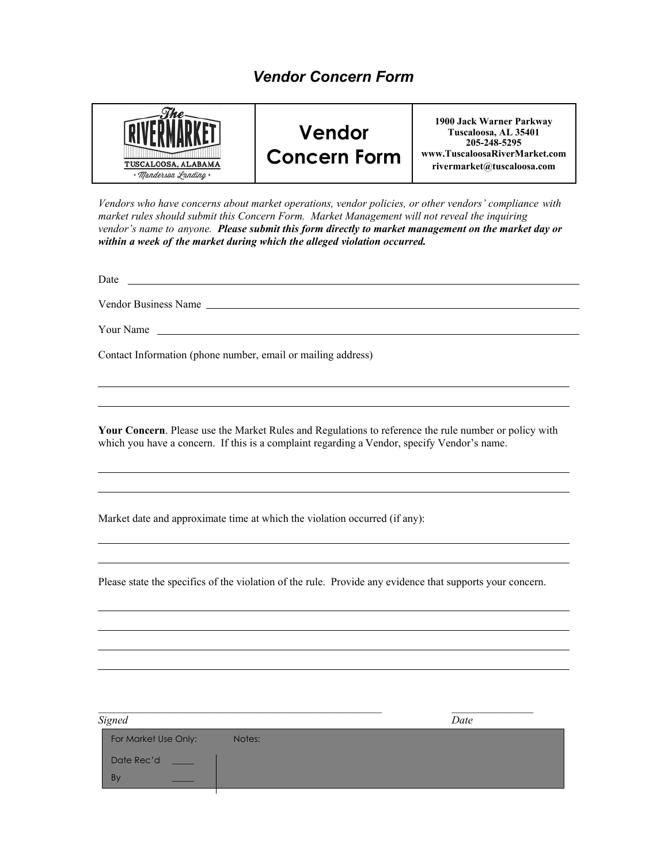# *Vendor Concern Form*



*Vendors who have concerns about market operations, vendor policies, or other vendors' compliance with market rules should submit this Concern Form. Market Management will not reveal the inquiring vendor's name to anyone. Please submit this form directly to market management on the market day or within a week of the market during which the alleged violation occurred.* 

Date https://www.accommunication.com/

Vendor Business Name

Your Name

Contact Information (phone number, email or mailing address)

**Your Concern**. Please use the Market Rules and Regulations to reference the rule number or policy with which you have a concern. If this is a complaint regarding a Vendor, specify Vendor's name.

Market date and approximate time at which the violation occurred (if any):

Please state the specifics of the violation of the rule. Provide any evidence that supports your concern.

| <b>Signed</b>        |        | Date |
|----------------------|--------|------|
| For Market Use Only: | Notes: |      |
| Date Rec'd           |        |      |
| B <sub>y</sub>       |        |      |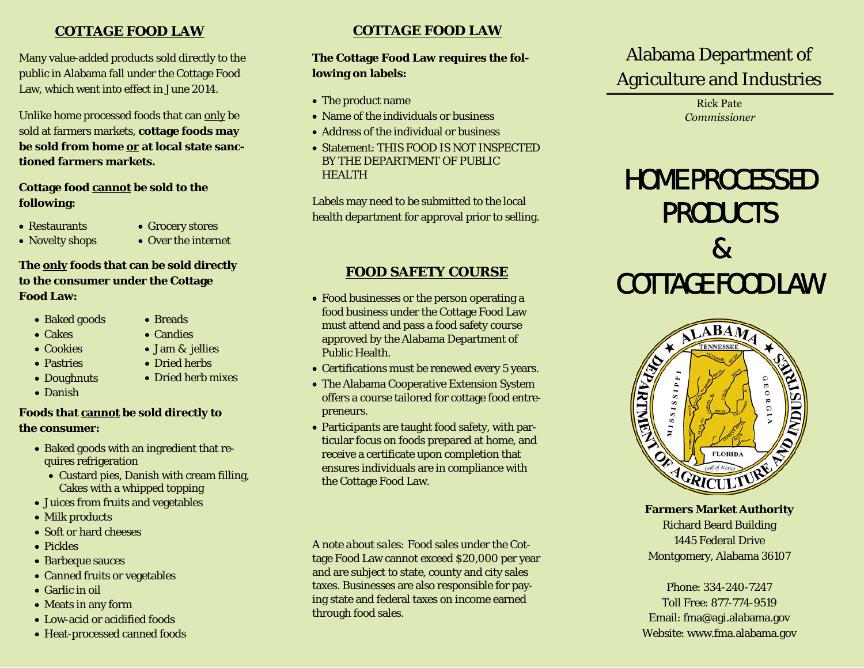# **COTTAGE FOOD LAW**

Many value-added products sold directly to the public in Alabama fall under the Cottage Food Law, which went into effect in June 2014.

Unlike home processed foods that can only be sold at farmers markets, **cottage foods may be sold from home or at local state sanctioned farmers markets.** 

# **Cottage food cannot be sold to the following:**

- Restaurants
- Grocery stores
- Novelty shops
- Over the internet

### **The only foods that can be sold directly to the consumer under the Cottage Food Law:**

- Baked goods
- Cakes
- Cookies
- Pastries
- Doughnuts
- Danish

# **Foods that cannot be sold directly to the consumer:**

- Baked goods with an ingredient that requires refrigeration
	- Custard pies, Danish with cream filling, Cakes with a whipped topping
- Juices from fruits and vegetables
- Milk products
- Soft or hard cheeses
- Pickles
- Barbeque sauces
- Canned fruits or vegetables
- Garlic in oil
- Meats in any form
- Low-acid or acidified foods
- Heat-processed canned foods

# **COTTAGE FOOD LAW**

# **The Cottage Food Law requires the following on labels:**

- The product name
- Name of the individuals or business
- Address of the individual or business
- Statement: THIS FOOD IS NOT INSPECTEDBY THE DEPARTMENT OF PUBLIC **HEALTH**

Labels may need to be submitted to the local health department for approval prior to selling.

# **FOOD SAFETY COURSE**

- Food businesses or the person operating a food business under the Cottage Food Law must attend and pass a food safety course approved by the Alabama Department of Public Health.
- Certifications must be renewed every 5 years.
- The Alabama Cooperative Extension System offers a course tailored for cottage food entrepreneurs.
- Participants are taught food safety, with particular focus on foods prepared at home, and receive a certificate upon completion that ensures individuals are in compliance with the Cottage Food Law.

*A note about sales:* Food sales under the Cottage Food Law cannot exceed \$20,000 per year and are subject to state, county and city sales taxes. Businesses are also responsible for paying state and federal taxes on income earned through food sales.

# Alabama Department of Agriculture and Industries

Rick Pate*Commissioner*

# HOME PROCESSED PRODUCTS & COTTAGE FOOD LAW



**Farmers Market Authority**  Richard Beard Building 1445 Federal Drive Montgomery, Alabama 36107

Phone: 334-240-7247 Toll Free: 877-774-9519 Email: fma@agi.alabama.gov Website: www.fma.alabama.gov

• Candies

• Breads

- Jam & jellies
- Dried herbs
- Dried herb mixes